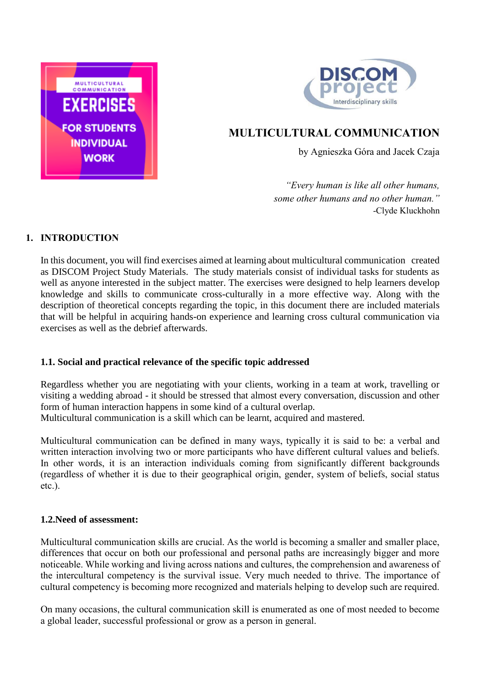



# **MULTICULTURAL COMMUNICATION**

by Agnieszka Góra and Jacek Czaja

*"Every human is like all other humans, some other humans and no other human."*  -Clyde Kluckhohn

## **1. INTRODUCTION**

In this document, you will find exercises aimed at learning about multicultural communication created as DISCOM Project Study Materials. The study materials consist of individual tasks for students as well as anyone interested in the subject matter. The exercises were designed to help learners develop knowledge and skills to communicate cross-culturally in a more effective way. Along with the description of theoretical concepts regarding the topic, in this document there are included materials that will be helpful in acquiring hands-on experience and learning cross cultural communication via exercises as well as the debrief afterwards.

### **1.1. Social and practical relevance of the specific topic addressed**

Regardless whether you are negotiating with your clients, working in a team at work, travelling or visiting a wedding abroad - it should be stressed that almost every conversation, discussion and other form of human interaction happens in some kind of a cultural overlap. Multicultural communication is a skill which can be learnt, acquired and mastered.

Multicultural communication can be defined in many ways, typically it is said to be: a verbal and written interaction involving two or more participants who have different cultural values and beliefs. In other words, it is an interaction individuals coming from significantly different backgrounds (regardless of whether it is due to their geographical origin, gender, system of beliefs, social status etc.).

### **1.2.Need of assessment:**

Multicultural communication skills are crucial. As the world is becoming a smaller and smaller place, differences that occur on both our professional and personal paths are increasingly bigger and more noticeable. While working and living across nations and cultures, the comprehension and awareness of the intercultural competency is the survival issue. Very much needed to thrive. The importance of cultural competency is becoming more recognized and materials helping to develop such are required.

On many occasions, the cultural communication skill is enumerated as one of most needed to become a global leader, successful professional or grow as a person in general.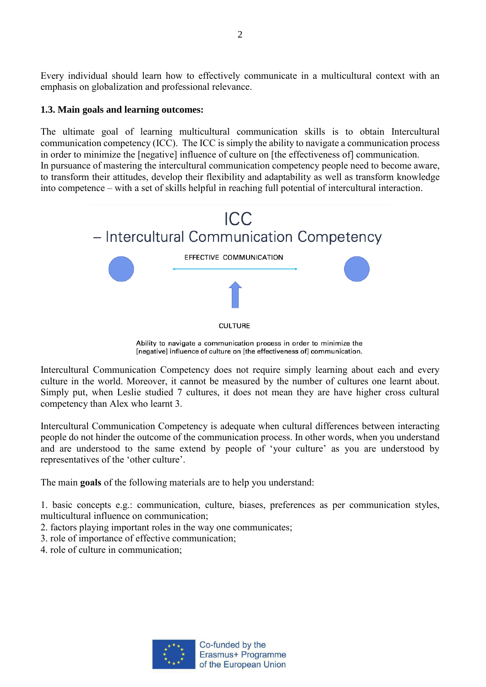Every individual should learn how to effectively communicate in a multicultural context with an emphasis on globalization and professional relevance.

#### **1.3. Main goals and learning outcomes:**

The ultimate goal of learning multicultural communication skills is to obtain Intercultural communication competency (ICC). The ICC is simply the ability to navigate a communication process in order to minimize the [negative] influence of culture on [the effectiveness of] communication. In pursuance of mastering the intercultural communication competency people need to become aware, to transform their attitudes, develop their flexibility and adaptability as well as transform knowledge into competence – with a set of skills helpful in reaching full potential of intercultural interaction.



Ability to navigate a communication process in order to minimize the [negative] influence of culture on [the effectiveness of] communication.

Intercultural Communication Competency does not require simply learning about each and every culture in the world. Moreover, it cannot be measured by the number of cultures one learnt about. Simply put, when Leslie studied 7 cultures, it does not mean they are have higher cross cultural competency than Alex who learnt 3.

Intercultural Communication Competency is adequate when cultural differences between interacting people do not hinder the outcome of the communication process. In other words, when you understand and are understood to the same extend by people of 'your culture' as you are understood by representatives of the 'other culture'.

The main **goals** of the following materials are to help you understand:

1. basic concepts e.g.: communication, culture, biases, preferences as per communication styles, multicultural influence on communication;

- 2. factors playing important roles in the way one communicates;
- 3. role of importance of effective communication;
- 4. role of culture in communication;

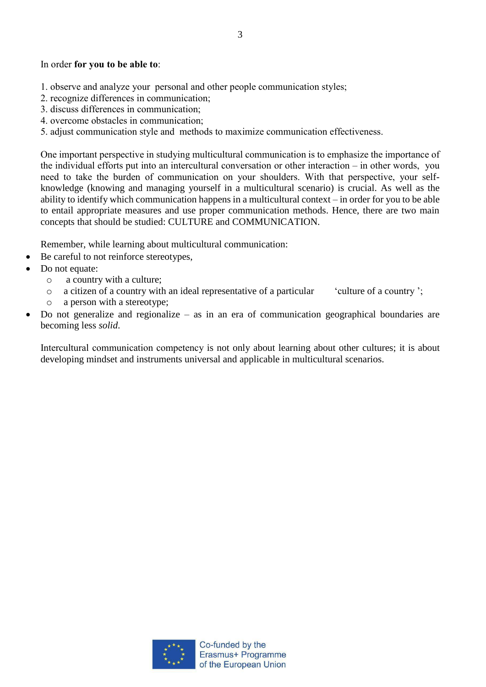#### In order **for you to be able to**:

- 1. observe and analyze your personal and other people communication styles;
- 2. recognize differences in communication;
- 3. discuss differences in communication;
- 4. overcome obstacles in communication;
- 5. adjust communication style and methods to maximize communication effectiveness.

One important perspective in studying multicultural communication is to emphasize the importance of the individual efforts put into an intercultural conversation or other interaction – in other words, you need to take the burden of communication on your shoulders. With that perspective, your selfknowledge (knowing and managing yourself in a multicultural scenario) is crucial. As well as the ability to identify which communication happens in a multicultural context – in order for you to be able to entail appropriate measures and use proper communication methods. Hence, there are two main concepts that should be studied: CULTURE and COMMUNICATION.

Remember, while learning about multicultural communication:

- Be careful to not reinforce stereotypes,
- Do not equate:
	- o a country with a culture;
	- o a citizen of a country with an ideal representative of a particular 'culture of a country ';
	- o a person with a stereotype;
- Do not generalize and regionalize as in an era of communication geographical boundaries are becoming less *solid*.

Intercultural communication competency is not only about learning about other cultures; it is about developing mindset and instruments universal and applicable in multicultural scenarios.

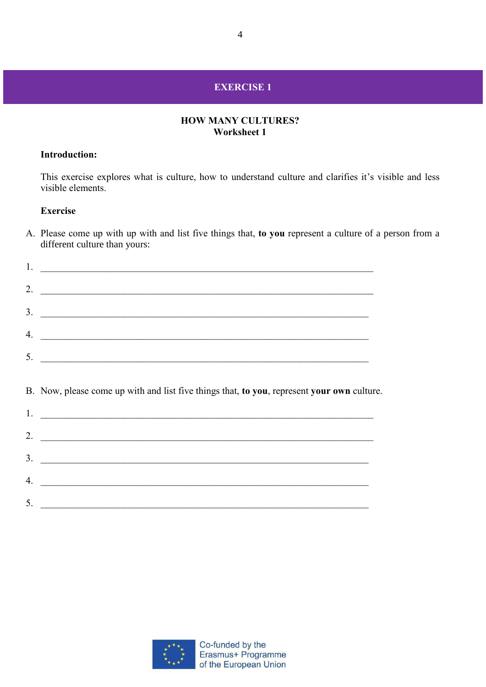## **EXERCISE 1**

#### **HOW MANY CULTURES? Worksheet 1**

#### **Introduction:**

This exercise explores what is culture, how to understand culture and clarifies it's visible and less visible elements.

### **Exercise**

A. Please come up with up with and list five things that, **to you** represent a culture of a person from a different culture than yours:

|    | 1. $\overline{\phantom{a}}$                                                                |
|----|--------------------------------------------------------------------------------------------|
|    | 2. $\overline{\phantom{a}}$                                                                |
|    | $\frac{3}{2}$                                                                              |
|    | $\mathcal{A}$ .                                                                            |
|    |                                                                                            |
|    | B. Now, please come up with and list five things that, to you, represent your own culture. |
|    | $1.$ $\overline{\phantom{a}}$                                                              |
|    | 2. $\overline{\phantom{a}}$                                                                |
|    | $3.$ $\overline{\phantom{a}}$                                                              |
|    | $\mathcal{A}$ .                                                                            |
| 5. |                                                                                            |

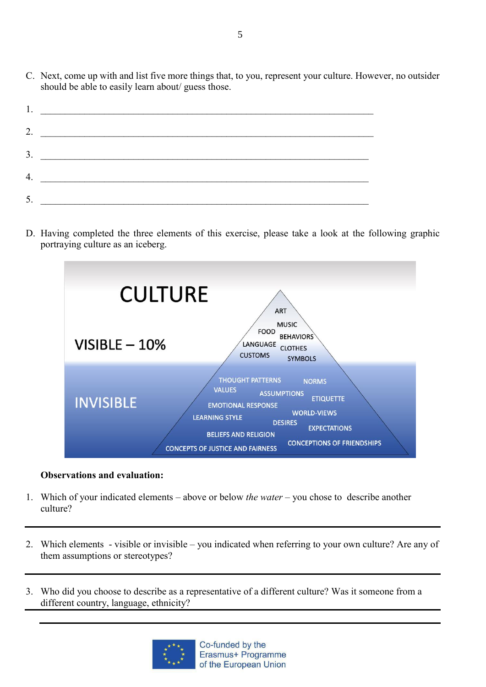C. Next, come up with and list five more things that, to you, represent your culture. However, no outsider should be able to easily learn about/ guess those.

| 1.                                          |  |
|---------------------------------------------|--|
| 2. $\qquad \qquad$                          |  |
| $\overline{\mathbf{3.}}$                    |  |
|                                             |  |
| <u> 1989 - Johann Harry Communication (</u> |  |

D. Having completed the three elements of this exercise, please take a look at the following graphic portraying culture as an iceberg.



### **Observations and evaluation:**

- 1. Which of your indicated elements above or below *the water* you chose to describe another culture?
- 2. Which elements visible or invisible you indicated when referring to your own culture? Are any of them assumptions or stereotypes?
- 3. Who did you choose to describe as a representative of a different culture? Was it someone from a different country, language, ethnicity?

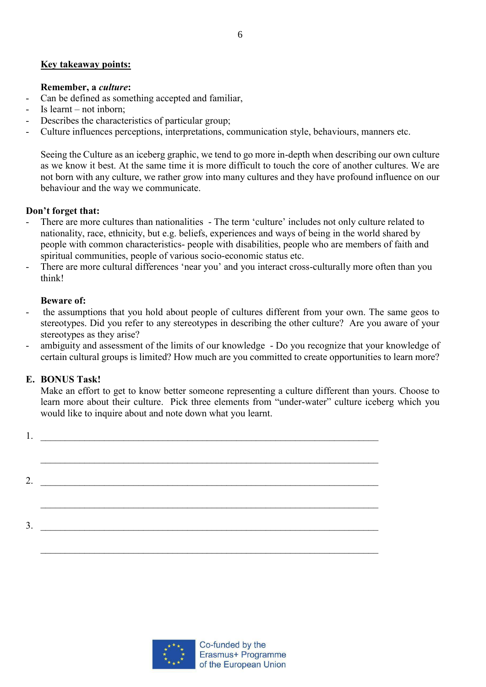#### **Key takeaway points:**

#### **Remember, a** *culture***:**

- Can be defined as something accepted and familiar,
- Is learnt not inborn;
- Describes the characteristics of particular group;
- Culture influences perceptions, interpretations, communication style, behaviours, manners etc.

Seeing the Culture as an iceberg graphic, we tend to go more in-depth when describing our own culture as we know it best. At the same time it is more difficult to touch the core of another cultures. We are not born with any culture, we rather grow into many cultures and they have profound influence on our behaviour and the way we communicate.

#### **Don't forget that:**

- There are more cultures than nationalities The term 'culture' includes not only culture related to nationality, race, ethnicity, but e.g. beliefs, experiences and ways of being in the world shared by people with common characteristics- people with disabilities, people who are members of faith and spiritual communities, people of various socio-economic status etc.
- There are more cultural differences 'near you' and you interact cross-culturally more often than you think!

#### **Beware of:**

- the assumptions that you hold about people of cultures different from your own. The same geos to stereotypes. Did you refer to any stereotypes in describing the other culture? Are you aware of your stereotypes as they arise?
- ambiguity and assessment of the limits of our knowledge Do you recognize that your knowledge of certain cultural groups is limited? How much are you committed to create opportunities to learn more?

#### **E. BONUS Task!**

Make an effort to get to know better someone representing a culture different than yours. Choose to learn more about their culture. Pick three elements from "under-water" culture iceberg which you would like to inquire about and note down what you learnt.

| 1. |  |
|----|--|
|    |  |
|    |  |
| 2. |  |
|    |  |
|    |  |
| 3. |  |
|    |  |
|    |  |

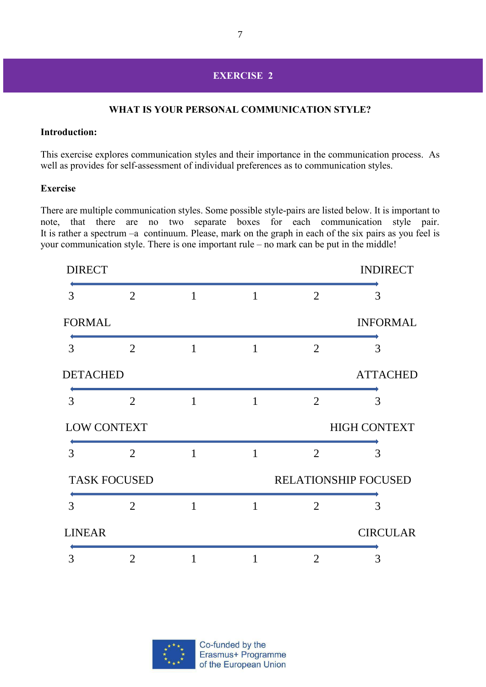### **EXERCISE 2**

### **WHAT IS YOUR PERSONAL COMMUNICATION STYLE?**

#### **Introduction:**

This exercise explores communication styles and their importance in the communication process. As well as provides for self-assessment of individual preferences as to communication styles.

#### **Exercise**

There are multiple communication styles. Some possible style-pairs are listed below. It is important to note, that there are no two separate boxes for each communication style pair. It is rather a spectrum –a continuum. Please, mark on the graph in each of the six pairs as you feel is your communication style. There is one important rule – no mark can be put in the middle!

| <b>DIRECT</b> |                     |              |   |                | <b>INDIRECT</b>             |
|---------------|---------------------|--------------|---|----------------|-----------------------------|
| 3             | $\overline{2}$      | $\mathbf{1}$ | 1 | $\overline{2}$ | 3                           |
| <b>FORMAL</b> |                     |              |   |                | <b>INFORMAL</b>             |
| 3             | $\overline{2}$      | 1            | 1 | $\overline{2}$ | 3                           |
| DETACHED      |                     |              |   |                | <b>ATTACHED</b>             |
| 3             | $\overline{2}$      | 1            | 1 | $\overline{2}$ | 3                           |
|               | <b>LOW CONTEXT</b>  |              |   |                | <b>HIGH CONTEXT</b>         |
| 3             | $\overline{2}$      | 1            | 1 | $\overline{2}$ | 3                           |
|               | <b>TASK FOCUSED</b> |              |   |                | <b>RELATIONSHIP FOCUSED</b> |
| 3             | 2                   | $\mathbf{1}$ | 1 | 2              | 3                           |
| <b>LINEAR</b> |                     |              |   |                | <b>CIRCULAR</b>             |
| 3             | $\overline{2}$      | 1            | 1 | $\overline{2}$ | 3                           |

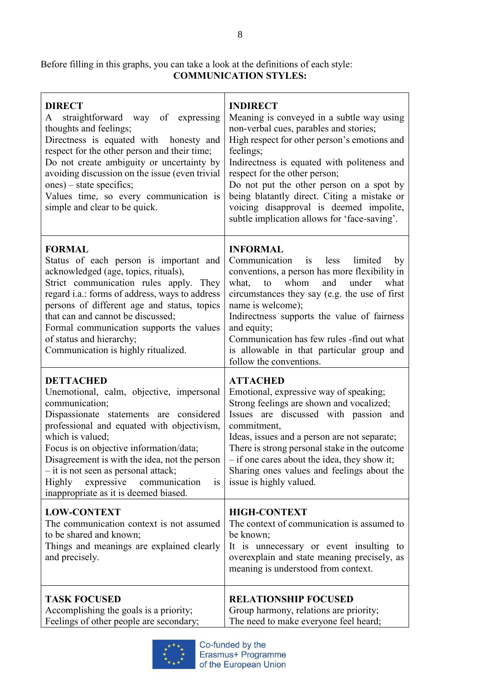Before filling in this graphs, you can take a look at the definitions of each style: **COMMUNICATION STYLES:**

| <b>DIRECT</b><br>straightforward way of expressing<br>A<br>thoughts and feelings;<br>Directness is equated with honesty and<br>respect for the other person and their time;<br>Do not create ambiguity or uncertainty by<br>avoiding discussion on the issue (even trivial<br>$ones$ ) – state specifics;<br>Values time, so every communication is<br>simple and clear to be quick.                                      | <b>INDIRECT</b><br>Meaning is conveyed in a subtle way using<br>non-verbal cues, parables and stories;<br>High respect for other person's emotions and<br>feelings;<br>Indirectness is equated with politeness and<br>respect for the other person;<br>Do not put the other person on a spot by<br>being blatantly direct. Citing a mistake or<br>voicing disapproval is deemed impolite,<br>subtle implication allows for 'face-saving'. |
|---------------------------------------------------------------------------------------------------------------------------------------------------------------------------------------------------------------------------------------------------------------------------------------------------------------------------------------------------------------------------------------------------------------------------|-------------------------------------------------------------------------------------------------------------------------------------------------------------------------------------------------------------------------------------------------------------------------------------------------------------------------------------------------------------------------------------------------------------------------------------------|
| <b>FORMAL</b><br>Status of each person is important and<br>acknowledged (age, topics, rituals),<br>Strict communication rules apply. They<br>regard <i>i.a.</i> : forms of address, ways to address<br>persons of different age and status, topics<br>that can and cannot be discussed;<br>Formal communication supports the values<br>of status and hierarchy;<br>Communication is highly ritualized.                    | <b>INFORMAL</b><br>Communication<br>less<br>limited<br>is<br>by<br>conventions, a person has more flexibility in<br>whom<br>under<br>what<br>what,<br>and<br>to<br>circumstances they say (e.g. the use of first<br>name is welcome);<br>Indirectness supports the value of fairness<br>and equity;<br>Communication has few rules -find out what<br>is allowable in that particular group and<br>follow the conventions.                 |
| <b>DETTACHED</b><br>Unemotional, calm, objective, impersonal<br>communication;<br>Dispassionate statements are considered<br>professional and equated with objectivism,<br>which is valued;<br>Focus is on objective information/data;<br>Disagreement is with the idea, not the person<br>$-$ it is not seen as personal attack;<br>Highly<br>expressive<br>communication<br>is<br>inappropriate as it is deemed biased. | <b>ATTACHED</b><br>Emotional, expressive way of speaking;<br>Strong feelings are shown and vocalized;<br>Issues are discussed with passion and<br>commitment,<br>Ideas, issues and a person are not separate;<br>There is strong personal stake in the outcome<br>- if one cares about the idea, they show it;<br>Sharing ones values and feelings about the<br>issue is highly valued.                                                   |
| <b>LOW-CONTEXT</b><br>The communication context is not assumed<br>to be shared and known;<br>Things and meanings are explained clearly<br>and precisely.                                                                                                                                                                                                                                                                  | <b>HIGH-CONTEXT</b><br>The context of communication is assumed to<br>be known;<br>It is unnecessary or event insulting to<br>overexplain and state meaning precisely, as<br>meaning is understood from context.                                                                                                                                                                                                                           |
| <b>TASK FOCUSED</b><br>Accomplishing the goals is a priority;<br>Feelings of other people are secondary;                                                                                                                                                                                                                                                                                                                  | <b>RELATIONSHIP FOCUSED</b><br>Group harmony, relations are priority;<br>The need to make everyone feel heard;                                                                                                                                                                                                                                                                                                                            |

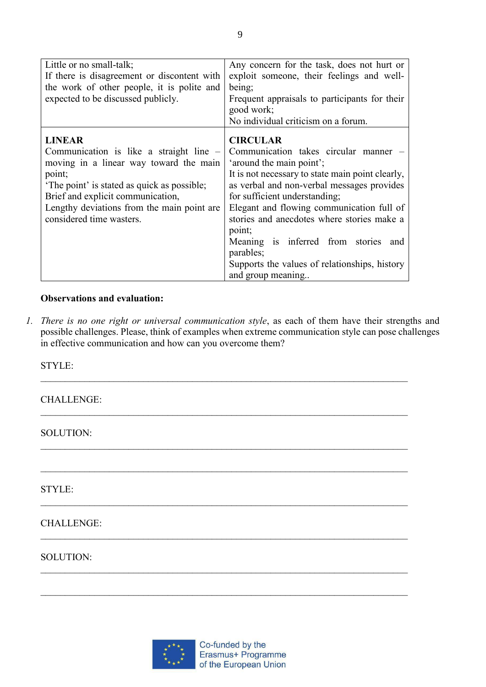| Little or no small-talk;<br>If there is disagreement or discontent with<br>the work of other people, it is polite and<br>expected to be discussed publicly.                                                                                                               | Any concern for the task, does not hurt or<br>exploit someone, their feelings and well-<br>being;<br>Frequent appraisals to participants for their<br>good work;<br>No individual criticism on a forum.                                                                                                                                                                                                                                                 |
|---------------------------------------------------------------------------------------------------------------------------------------------------------------------------------------------------------------------------------------------------------------------------|---------------------------------------------------------------------------------------------------------------------------------------------------------------------------------------------------------------------------------------------------------------------------------------------------------------------------------------------------------------------------------------------------------------------------------------------------------|
| <b>LINEAR</b><br>Communication is like a straight line –<br>moving in a linear way toward the main<br>point;<br>The point' is stated as quick as possible;<br>Brief and explicit communication,<br>Lengthy deviations from the main point are<br>considered time wasters. | <b>CIRCULAR</b><br>Communication takes circular manner –<br>'around the main point';<br>It is not necessary to state main point clearly,<br>as verbal and non-verbal messages provides<br>for sufficient understanding;<br>Elegant and flowing communication full of<br>stories and anecdotes where stories make a<br>point;<br>Meaning is inferred from stories and<br>parables;<br>Supports the values of relationships, history<br>and group meaning |

9

### **Observations and evaluation:**

*1. There is no one right or universal communication style*, as each of them have their strengths and possible challenges. Please, think of examples when extreme communication style can pose challenges in effective communication and how can you overcome them?

STYLE:

CHALLENGE:

SOLUTION:

STYLE:

## CHALLENGE:

### SOLUTION:

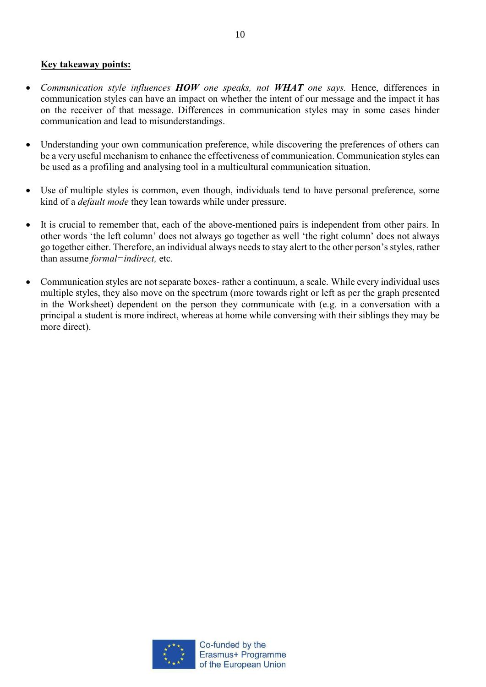### **Key takeaway points:**

- *Communication style influences HOW one speaks, not WHAT one says.* Hence, differences in communication styles can have an impact on whether the intent of our message and the impact it has on the receiver of that message. Differences in communication styles may in some cases hinder communication and lead to misunderstandings.
- Understanding your own communication preference, while discovering the preferences of others can be a very useful mechanism to enhance the effectiveness of communication. Communication styles can be used as a profiling and analysing tool in a multicultural communication situation.
- Use of multiple styles is common, even though, individuals tend to have personal preference, some kind of a *default mode* they lean towards while under pressure.
- It is crucial to remember that, each of the above-mentioned pairs is independent from other pairs. In other words 'the left column' does not always go together as well 'the right column' does not always go together either. Therefore, an individual always needs to stay alert to the other person's styles, rather than assume *formal=indirect,* etc.
- Communication styles are not separate boxes- rather a continuum, a scale. While every individual uses multiple styles, they also move on the spectrum (more towards right or left as per the graph presented in the Worksheet) dependent on the person they communicate with (e.g. in a conversation with a principal a student is more indirect, whereas at home while conversing with their siblings they may be more direct).

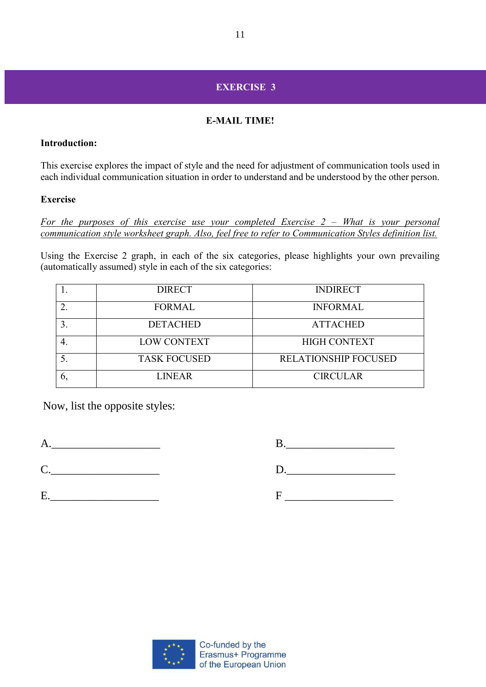## **EXERCISE 3**

## **E-MAIL TIME!**

### **Introduction:**

This exercise explores the impact of style and the need for adjustment of communication tools used in each individual communication situation in order to understand and be understood by the other person.

## **Exercise**

*For the purposes of this exercise use your completed Exercise 2 – What is your personal communication style worksheet graph. Also, feel free to refer to Communication Styles definition list.*

Using the Exercise 2 graph, in each of the six categories, please highlights your own prevailing (automatically assumed) style in each of the six categories:

| <b>DIRECT</b>       | <b>INDIRECT</b>             |
|---------------------|-----------------------------|
| <b>FORMAL</b>       | <b>INFORMAL</b>             |
| <b>DETACHED</b>     | <b>ATTACHED</b>             |
| <b>LOW CONTEXT</b>  | <b>HIGH CONTEXT</b>         |
| <b>TASK FOCUSED</b> | <b>RELATIONSHIP FOCUSED</b> |
| <b>LINEAR</b>       | <b>CIRCULAR</b>             |

Now, list the opposite styles:

| $\mathbf{D}$ , the same state $\mathbf{D}$ is a set of $\mathbf{D}$ is a set of $\mathbf{D}$ is a set of $\mathbf{D}$ is a set of $\mathbf{D}$ is a set of $\mathbf{D}$ is a set of $\mathbf{D}$ is a set of $\mathbf{D}$ is a set of $\mathbf{D}$ is a set of $\mathbf{D}$ |  |  |  |
|-----------------------------------------------------------------------------------------------------------------------------------------------------------------------------------------------------------------------------------------------------------------------------|--|--|--|
| $D_{\cdot}$                                                                                                                                                                                                                                                                 |  |  |  |
|                                                                                                                                                                                                                                                                             |  |  |  |

E.\_\_\_\_\_\_\_\_\_\_\_\_\_\_\_\_\_\_\_ F \_\_\_\_\_\_\_\_\_\_\_\_\_\_\_\_\_\_\_

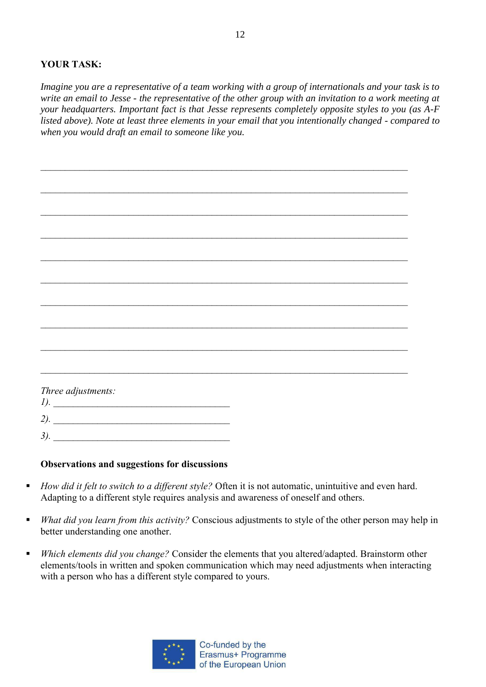## **YOUR TASK:**

*Imagine you are a representative of a team working with a group of internationals and your task is to write an email to Jesse - the representative of the other group with an invitation to a work meeting at your headquarters. Important fact is that Jesse represents completely opposite styles to you (as A-F listed above). Note at least three elements in your email that you intentionally changed - compared to when you would draft an email to someone like you.* 

| Three adjustments: |  |
|--------------------|--|
| 1).                |  |
|                    |  |
| $2)$ .             |  |
|                    |  |
| 3).                |  |
|                    |  |

### **Observations and suggestions for discussions**

- *How did it felt to switch to a different style?* Often it is not automatic, unintuitive and even hard. Adapting to a different style requires analysis and awareness of oneself and others.
- *What did you learn from this activity?* Conscious adjustments to style of the other person may help in better understanding one another.
- *Which elements did you change?* Consider the elements that you altered/adapted. Brainstorm other elements/tools in written and spoken communication which may need adjustments when interacting with a person who has a different style compared to yours.